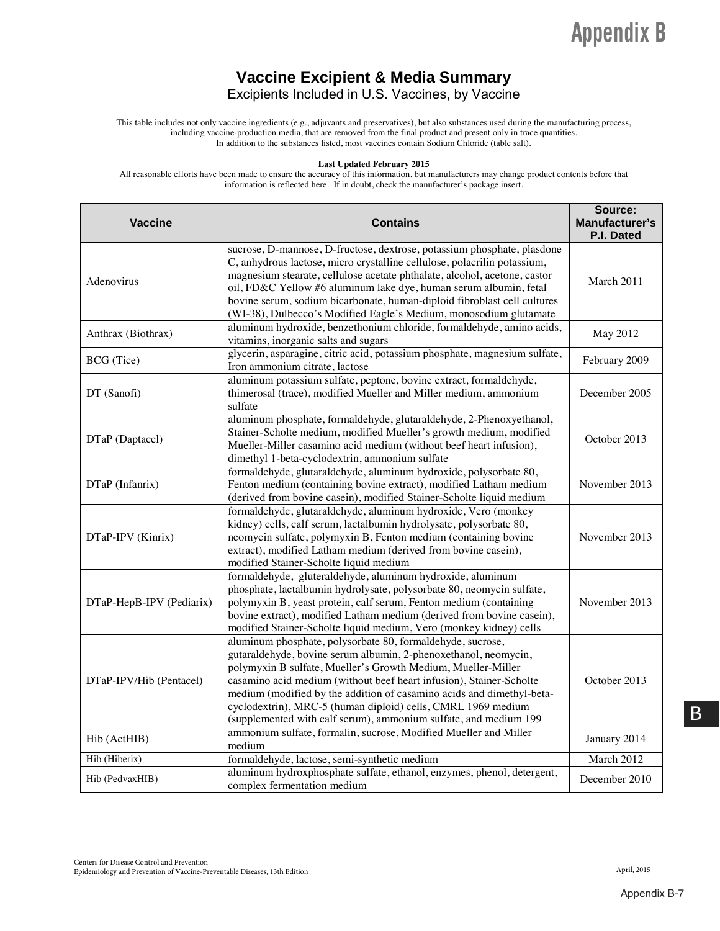#### **Vaccine Excipient & Media Summary**

Excipients Included in U.S. Vaccines, by Vaccine

 This table includes not only vaccine ingredients (e.g., adjuvants and preservatives), but also substances used during the manufacturing process, including vaccine-production media, that are removed from the final product and present only in trace quantities. In addition to the substances listed, most vaccines contain Sodium Chloride (table salt).

#### **Last Updated February 2015**

All reasonable efforts have been made to ensure the accuracy of this information, but manufacturers may change product contents before that information is reflected here. If in doubt, check the manufacturer's package insert.

| <b>Vaccine</b>           | <b>Contains</b>                                                                                                                                                                                                                                                                                                                                                                                                                                                                   | Source:<br><b>Manufacturer's</b><br>P.I. Dated |
|--------------------------|-----------------------------------------------------------------------------------------------------------------------------------------------------------------------------------------------------------------------------------------------------------------------------------------------------------------------------------------------------------------------------------------------------------------------------------------------------------------------------------|------------------------------------------------|
| Adenovirus               | sucrose, D-mannose, D-fructose, dextrose, potassium phosphate, plasdone<br>C, anhydrous lactose, micro crystalline cellulose, polacrilin potassium,<br>magnesium stearate, cellulose acetate phthalate, alcohol, acetone, castor<br>oil, FD&C Yellow #6 aluminum lake dye, human serum albumin, fetal<br>bovine serum, sodium bicarbonate, human-diploid fibroblast cell cultures<br>(WI-38), Dulbecco's Modified Eagle's Medium, monosodium glutamate                            | March 2011                                     |
| Anthrax (Biothrax)       | aluminum hydroxide, benzethonium chloride, formaldehyde, amino acids,<br>vitamins, inorganic salts and sugars                                                                                                                                                                                                                                                                                                                                                                     | May 2012                                       |
| BCG (Tice)               | glycerin, asparagine, citric acid, potassium phosphate, magnesium sulfate,<br>Iron ammonium citrate, lactose                                                                                                                                                                                                                                                                                                                                                                      | February 2009                                  |
| DT (Sanofi)              | aluminum potassium sulfate, peptone, bovine extract, formaldehyde,<br>thimerosal (trace), modified Mueller and Miller medium, ammonium<br>sulfate                                                                                                                                                                                                                                                                                                                                 | December 2005                                  |
| DTaP (Daptacel)          | aluminum phosphate, formaldehyde, glutaraldehyde, 2-Phenoxyethanol,<br>Stainer-Scholte medium, modified Mueller's growth medium, modified<br>Mueller-Miller casamino acid medium (without beef heart infusion),<br>dimethyl 1-beta-cyclodextrin, ammonium sulfate                                                                                                                                                                                                                 | October 2013                                   |
| DTaP (Infanrix)          | formaldehyde, glutaraldehyde, aluminum hydroxide, polysorbate 80,<br>Fenton medium (containing bovine extract), modified Latham medium<br>(derived from bovine casein), modified Stainer-Scholte liquid medium                                                                                                                                                                                                                                                                    | November 2013                                  |
| DTaP-IPV (Kinrix)        | formaldehyde, glutaraldehyde, aluminum hydroxide, Vero (monkey<br>kidney) cells, calf serum, lactalbumin hydrolysate, polysorbate 80,<br>neomycin sulfate, polymyxin B, Fenton medium (containing bovine<br>extract), modified Latham medium (derived from bovine casein),<br>modified Stainer-Scholte liquid medium                                                                                                                                                              | November 2013                                  |
| DTaP-HepB-IPV (Pediarix) | formaldehyde, gluteraldehyde, aluminum hydroxide, aluminum<br>phosphate, lactalbumin hydrolysate, polysorbate 80, neomycin sulfate,<br>polymyxin B, yeast protein, calf serum, Fenton medium (containing<br>bovine extract), modified Latham medium (derived from bovine casein),<br>modified Stainer-Scholte liquid medium, Vero (monkey kidney) cells                                                                                                                           | November 2013                                  |
| DTaP-IPV/Hib (Pentacel)  | aluminum phosphate, polysorbate 80, formaldehyde, sucrose,<br>gutaraldehyde, bovine serum albumin, 2-phenoxethanol, neomycin,<br>polymyxin B sulfate, Mueller's Growth Medium, Mueller-Miller<br>casamino acid medium (without beef heart infusion), Stainer-Scholte<br>medium (modified by the addition of casamino acids and dimethyl-beta-<br>cyclodextrin), MRC-5 (human diploid) cells, CMRL 1969 medium<br>(supplemented with calf serum), ammonium sulfate, and medium 199 | October 2013                                   |
| Hib (ActHIB)             | ammonium sulfate, formalin, sucrose, Modified Mueller and Miller<br>medium                                                                                                                                                                                                                                                                                                                                                                                                        | January 2014                                   |
| Hib (Hiberix)            | formaldehyde, lactose, semi-synthetic medium                                                                                                                                                                                                                                                                                                                                                                                                                                      | March 2012                                     |
| Hib (PedvaxHIB)          | aluminum hydroxphosphate sulfate, ethanol, enzymes, phenol, detergent,<br>complex fermentation medium                                                                                                                                                                                                                                                                                                                                                                             | December 2010                                  |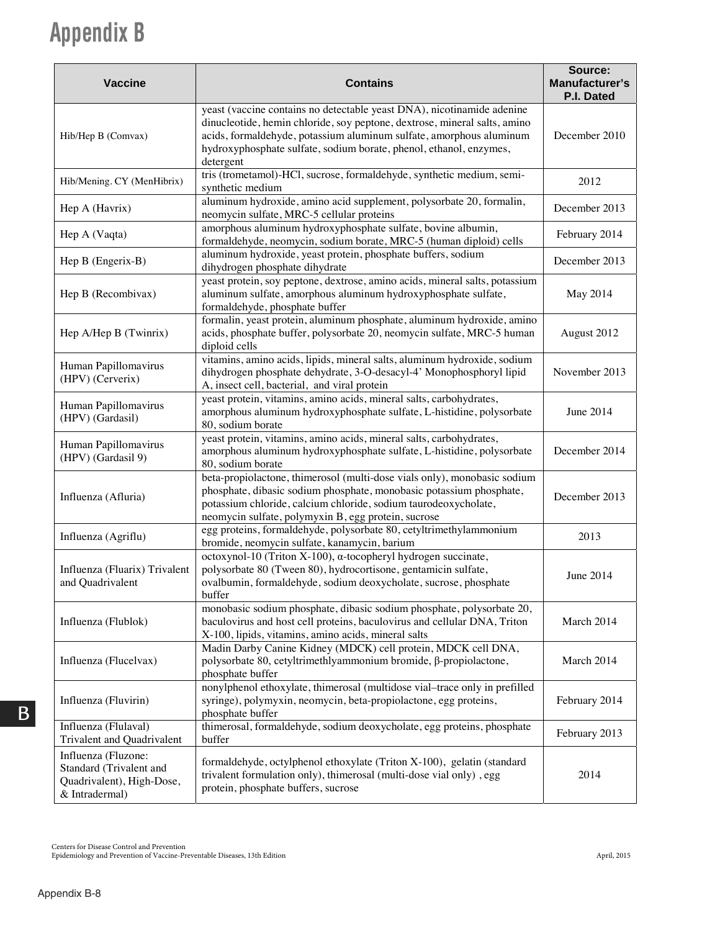| <b>Vaccine</b>                                                                                | <b>Contains</b>                                                                                                                                                                                                                                                                                               | Source:<br>Manufacturer's<br>P.I. Dated |
|-----------------------------------------------------------------------------------------------|---------------------------------------------------------------------------------------------------------------------------------------------------------------------------------------------------------------------------------------------------------------------------------------------------------------|-----------------------------------------|
| Hib/Hep B (Comvax)                                                                            | yeast (vaccine contains no detectable yeast DNA), nicotinamide adenine<br>dinucleotide, hemin chloride, soy peptone, dextrose, mineral salts, amino<br>acids, formaldehyde, potassium aluminum sulfate, amorphous aluminum<br>hydroxyphosphate sulfate, sodium borate, phenol, ethanol, enzymes,<br>detergent | December 2010                           |
| Hib/Mening. CY (MenHibrix)                                                                    | tris (trometamol)-HCl, sucrose, formaldehyde, synthetic medium, semi-<br>synthetic medium                                                                                                                                                                                                                     | 2012                                    |
| Hep A (Havrix)                                                                                | aluminum hydroxide, amino acid supplement, polysorbate 20, formalin,<br>neomycin sulfate, MRC-5 cellular proteins                                                                                                                                                                                             | December 2013                           |
| Hep A (Vaqta)                                                                                 | amorphous aluminum hydroxyphosphate sulfate, bovine albumin,<br>formaldehyde, neomycin, sodium borate, MRC-5 (human diploid) cells                                                                                                                                                                            | February 2014                           |
| Hep B (Engerix-B)                                                                             | aluminum hydroxide, yeast protein, phosphate buffers, sodium<br>dihydrogen phosphate dihydrate                                                                                                                                                                                                                | December 2013                           |
| Hep B (Recombivax)                                                                            | yeast protein, soy peptone, dextrose, amino acids, mineral salts, potassium<br>aluminum sulfate, amorphous aluminum hydroxyphosphate sulfate,<br>formaldehyde, phosphate buffer                                                                                                                               | May 2014                                |
| Hep A/Hep B (Twinrix)                                                                         | formalin, yeast protein, aluminum phosphate, aluminum hydroxide, amino<br>acids, phosphate buffer, polysorbate 20, neomycin sulfate, MRC-5 human<br>diploid cells                                                                                                                                             | August 2012                             |
| Human Papillomavirus<br>(HPV) (Cerverix)                                                      | vitamins, amino acids, lipids, mineral salts, aluminum hydroxide, sodium<br>dihydrogen phosphate dehydrate, 3-O-desacyl-4' Monophosphoryl lipid<br>A, insect cell, bacterial, and viral protein                                                                                                               | November 2013                           |
| Human Papillomavirus<br>(HPV) (Gardasil)                                                      | yeast protein, vitamins, amino acids, mineral salts, carbohydrates,<br>amorphous aluminum hydroxyphosphate sulfate, L-histidine, polysorbate<br>80, sodium borate                                                                                                                                             | June 2014                               |
| Human Papillomavirus<br>(HPV) (Gardasil 9)                                                    | yeast protein, vitamins, amino acids, mineral salts, carbohydrates,<br>amorphous aluminum hydroxyphosphate sulfate, L-histidine, polysorbate<br>80, sodium borate                                                                                                                                             | December 2014                           |
| Influenza (Afluria)                                                                           | beta-propiolactone, thimerosol (multi-dose vials only), monobasic sodium<br>phosphate, dibasic sodium phosphate, monobasic potassium phosphate,<br>potassium chloride, calcium chloride, sodium taurodeoxycholate,<br>neomycin sulfate, polymyxin B, egg protein, sucrose                                     | December 2013                           |
| Influenza (Agriflu)                                                                           | egg proteins, formaldehyde, polysorbate 80, cetyltrimethylammonium<br>bromide, neomycin sulfate, kanamycin, barium                                                                                                                                                                                            | 2013                                    |
| Influenza (Fluarix) Trivalent<br>and Quadrivalent                                             | octoxynol-10 (Triton X-100), α-tocopheryl hydrogen succinate,<br>polysorbate 80 (Tween 80), hydrocortisone, gentamicin sulfate,<br>ovalbumin, formaldehyde, sodium deoxycholate, sucrose, phosphate<br>buffer                                                                                                 | June 2014                               |
| Influenza (Flublok)                                                                           | monobasic sodium phosphate, dibasic sodium phosphate, polysorbate 20,<br>baculovirus and host cell proteins, baculovirus and cellular DNA, Triton<br>X-100, lipids, vitamins, amino acids, mineral salts                                                                                                      | March 2014                              |
| Influenza (Flucelvax)                                                                         | Madin Darby Canine Kidney (MDCK) cell protein, MDCK cell DNA,<br>polysorbate 80, cetyltrimethlyammonium bromide, β-propiolactone,<br>phosphate buffer                                                                                                                                                         | March 2014                              |
| Influenza (Fluvirin)                                                                          | nonylphenol ethoxylate, thimerosal (multidose vial-trace only in prefilled<br>syringe), polymyxin, neomycin, beta-propiolactone, egg proteins,<br>phosphate buffer                                                                                                                                            | February 2014                           |
| Influenza (Flulaval)<br>Trivalent and Quadrivalent                                            | thimerosal, formaldehyde, sodium deoxycholate, egg proteins, phosphate<br>buffer                                                                                                                                                                                                                              | February 2013                           |
| Influenza (Fluzone:<br>Standard (Trivalent and<br>Quadrivalent), High-Dose,<br>& Intradermal) | formaldehyde, octylphenol ethoxylate (Triton X-100), gelatin (standard<br>trivalent formulation only), thimerosal (multi-dose vial only), egg<br>protein, phosphate buffers, sucrose                                                                                                                          | 2014                                    |

Centers for Disease Control and Prevention<br>Epidemiology and Prevention of Vaccine-Preventable Diseases, 13th Edition April, 2015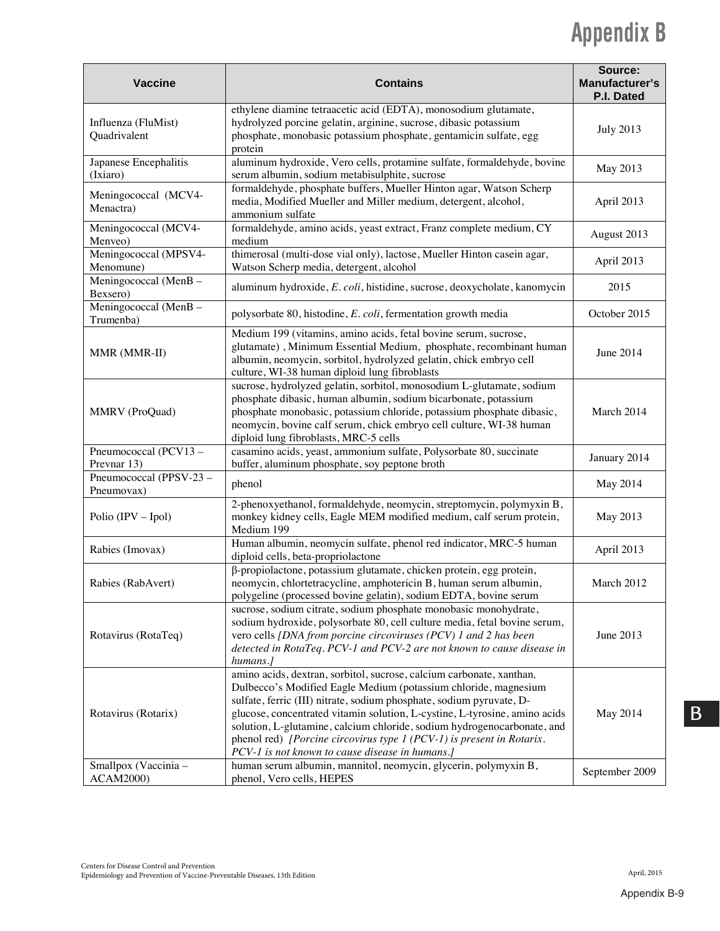| <b>Vaccine</b>                           | <b>Contains</b>                                                                                                                                                                                                                                                                                                                                                                                                                                                                                      | Source:<br>Manufacturer's<br>P.I. Dated |
|------------------------------------------|------------------------------------------------------------------------------------------------------------------------------------------------------------------------------------------------------------------------------------------------------------------------------------------------------------------------------------------------------------------------------------------------------------------------------------------------------------------------------------------------------|-----------------------------------------|
| Influenza (FluMist)<br>Quadrivalent      | ethylene diamine tetraacetic acid (EDTA), monosodium glutamate,<br>hydrolyzed porcine gelatin, arginine, sucrose, dibasic potassium<br>phosphate, monobasic potassium phosphate, gentamicin sulfate, egg<br>protein                                                                                                                                                                                                                                                                                  | <b>July 2013</b>                        |
| Japanese Encephalitis<br>(Ixiaro)        | aluminum hydroxide, Vero cells, protamine sulfate, formaldehyde, bovine<br>serum albumin, sodium metabisulphite, sucrose                                                                                                                                                                                                                                                                                                                                                                             | May 2013                                |
| Meningococcal (MCV4-<br>Menactra)        | formaldehyde, phosphate buffers, Mueller Hinton agar, Watson Scherp<br>media, Modified Mueller and Miller medium, detergent, alcohol,<br>ammonium sulfate                                                                                                                                                                                                                                                                                                                                            | April 2013                              |
| Meningococcal (MCV4-<br>Menveo)          | formaldehyde, amino acids, yeast extract, Franz complete medium, CY<br>medium                                                                                                                                                                                                                                                                                                                                                                                                                        | August 2013                             |
| Meningococcal (MPSV4-<br>Menomune)       | thimerosal (multi-dose vial only), lactose, Mueller Hinton casein agar,<br>Watson Scherp media, detergent, alcohol                                                                                                                                                                                                                                                                                                                                                                                   | April 2013                              |
| Meningococcal (MenB-<br>Bexsero)         | aluminum hydroxide, E. coli, histidine, sucrose, deoxycholate, kanomycin                                                                                                                                                                                                                                                                                                                                                                                                                             | 2015                                    |
| Meningococcal (MenB $-$<br>Trumenba)     | polysorbate 80, histodine, E. coli, fermentation growth media                                                                                                                                                                                                                                                                                                                                                                                                                                        | October 2015                            |
| MMR (MMR-II)                             | Medium 199 (vitamins, amino acids, fetal bovine serum, sucrose,<br>glutamate), Minimum Essential Medium, phosphate, recombinant human<br>albumin, neomycin, sorbitol, hydrolyzed gelatin, chick embryo cell<br>culture, WI-38 human diploid lung fibroblasts                                                                                                                                                                                                                                         | June 2014                               |
| MMRV (ProQuad)                           | sucrose, hydrolyzed gelatin, sorbitol, monosodium L-glutamate, sodium<br>phosphate dibasic, human albumin, sodium bicarbonate, potassium<br>phosphate monobasic, potassium chloride, potassium phosphate dibasic,<br>neomycin, bovine calf serum, chick embryo cell culture, WI-38 human<br>diploid lung fibroblasts, MRC-5 cells                                                                                                                                                                    | March 2014                              |
| Pneumococcal (PCV13-<br>Prevnar 13)      | casamino acids, yeast, ammonium sulfate, Polysorbate 80, succinate<br>buffer, aluminum phosphate, soy peptone broth                                                                                                                                                                                                                                                                                                                                                                                  | January 2014                            |
| Pneumococcal (PPSV-23 -<br>Pneumovax)    | phenol                                                                                                                                                                                                                                                                                                                                                                                                                                                                                               | May 2014                                |
| Polio (IPV - Ipol)                       | 2-phenoxyethanol, formaldehyde, neomycin, streptomycin, polymyxin B,<br>monkey kidney cells, Eagle MEM modified medium, calf serum protein,<br>Medium 199                                                                                                                                                                                                                                                                                                                                            | May 2013                                |
| Rabies (Imovax)                          | Human albumin, neomycin sulfate, phenol red indicator, MRC-5 human<br>diploid cells, beta-propriolactone                                                                                                                                                                                                                                                                                                                                                                                             | April 2013                              |
| Rabies (RabAvert)                        | β-propiolactone, potassium glutamate, chicken protein, egg protein,<br>neomycin, chlortetracycline, amphotericin B, human serum albumin,<br>polygeline (processed bovine gelatin), sodium EDTA, bovine serum                                                                                                                                                                                                                                                                                         | March 2012                              |
| Rotavirus (RotaTeq)                      | sucrose, sodium citrate, sodium phosphate monobasic monohydrate,<br>sodium hydroxide, polysorbate 80, cell culture media, fetal bovine serum,<br>vero cells [DNA from porcine circoviruses (PCV) 1 and 2 has been<br>detected in RotaTeq. PCV-1 and PCV-2 are not known to cause disease in<br>humans.]                                                                                                                                                                                              | June 2013                               |
| Rotavirus (Rotarix)                      | amino acids, dextran, sorbitol, sucrose, calcium carbonate, xanthan,<br>Dulbecco's Modified Eagle Medium (potassium chloride, magnesium<br>sulfate, ferric (III) nitrate, sodium phosphate, sodium pyruvate, D-<br>glucose, concentrated vitamin solution, L-cystine, L-tyrosine, amino acids<br>solution, L-glutamine, calcium chloride, sodium hydrogenocarbonate, and<br>phenol red) [Porcine circovirus type 1 (PCV-1) is present in Rotarix.<br>PCV-1 is not known to cause disease in humans.] | May 2014                                |
| Smallpox (Vaccinia -<br><b>ACAM2000)</b> | human serum albumin, mannitol, neomycin, glycerin, polymyxin B,<br>phenol, Vero cells, HEPES                                                                                                                                                                                                                                                                                                                                                                                                         | September 2009                          |